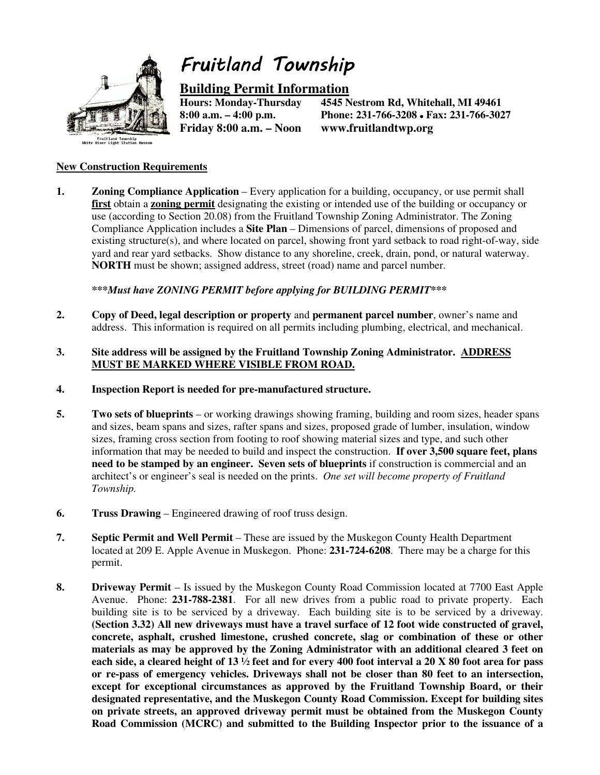

## Fruitland Township

# **Building Permit Information**

**Friday 8:00 a.m. – Noon www.fruitlandtwp.org** 

4545 Nestrom Rd, Whitehall, MI 49461 **8:00 a.m. – 4:00 p.m. Phone: 231-766-3208 Fax: 231-766-3027** 

#### **New Construction Requirements**

**1. Zoning Compliance Application** – Every application for a building, occupancy, or use permit shall **first** obtain a **zoning permit** designating the existing or intended use of the building or occupancy or use (according to Section 20.08) from the Fruitland Township Zoning Administrator. The Zoning Compliance Application includes a **Site Plan** – Dimensions of parcel, dimensions of proposed and existing structure(s), and where located on parcel, showing front yard setback to road right-of-way, side yard and rear yard setbacks. Show distance to any shoreline, creek, drain, pond, or natural waterway. **NORTH** must be shown; assigned address, street (road) name and parcel number.

*\*\*\*Must have ZONING PERMIT before applying for BUILDING PERMIT\*\*\** 

- **2. Copy of Deed, legal description or property** and **permanent parcel number**, owner's name and address. This information is required on all permits including plumbing, electrical, and mechanical.
- **3. Site address will be assigned by the Fruitland Township Zoning Administrator. ADDRESS MUST BE MARKED WHERE VISIBLE FROM ROAD.**
- **4. Inspection Report is needed for pre-manufactured structure.**
- **5. Two sets of blueprints** or working drawings showing framing, building and room sizes, header spans and sizes, beam spans and sizes, rafter spans and sizes, proposed grade of lumber, insulation, window sizes, framing cross section from footing to roof showing material sizes and type, and such other information that may be needed to build and inspect the construction. **If over 3,500 square feet, plans need to be stamped by an engineer. Seven sets of blueprints** if construction is commercial and an architect's or engineer's seal is needed on the prints. *One set will become property of Fruitland Township.*
- **6. Truss Drawing** Engineered drawing of roof truss design.
- **7. Septic Permit and Well Permit** These are issued by the Muskegon County Health Department located at 209 E. Apple Avenue in Muskegon. Phone: **231-724-6208**. There may be a charge for this permit.
- **8. Driveway Permit** Is issued by the Muskegon County Road Commission located at 7700 East Apple Avenue. Phone: **231-788-2381**. For all new drives from a public road to private property. Each building site is to be serviced by a driveway. Each building site is to be serviced by a driveway. **(Section 3.32) All new driveways must have a travel surface of 12 foot wide constructed of gravel, concrete, asphalt, crushed limestone, crushed concrete, slag or combination of these or other materials as may be approved by the Zoning Administrator with an additional cleared 3 feet on each side, a cleared height of 13 ½ feet and for every 400 foot interval a 20 X 80 foot area for pass or re-pass of emergency vehicles. Driveways shall not be closer than 80 feet to an intersection, except for exceptional circumstances as approved by the Fruitland Township Board, or their designated representative, and the Muskegon County Road Commission. Except for building sites on private streets, an approved driveway permit must be obtained from the Muskegon County Road Commission (MCRC) and submitted to the Building Inspector prior to the issuance of a**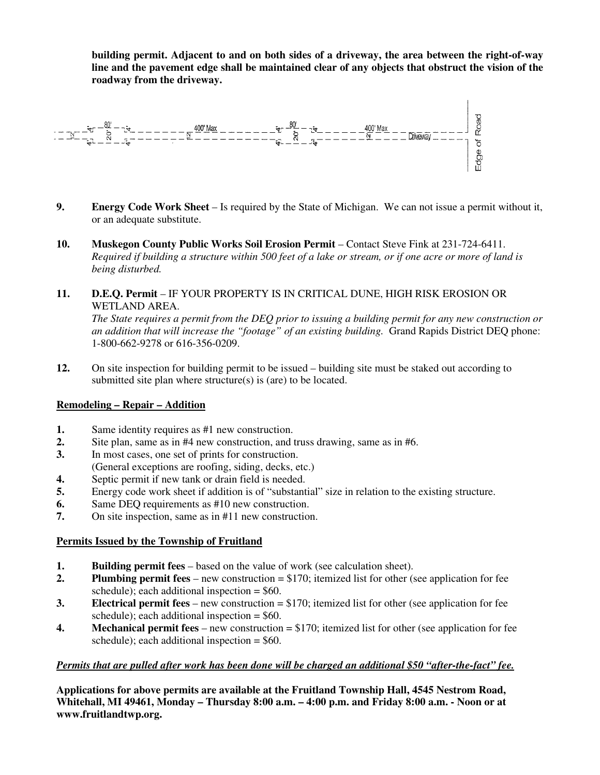**building permit. Adjacent to and on both sides of a driveway, the area between the right-of-way line and the pavement edge shall be maintained clear of any objects that obstruct the vision of the roadway from the driveway.** 



- **9. Energy Code Work Sheet** Is required by the State of Michigan. We can not issue a permit without it, or an adequate substitute.
- **10. Muskegon County Public Works Soil Erosion Permit** Contact Steve Fink at 231-724-6411. *Required if building a structure within 500 feet of a lake or stream, or if one acre or more of land is being disturbed.*
- **11. D.E.Q. Permit** IF YOUR PROPERTY IS IN CRITICAL DUNE, HIGH RISK EROSION OR WETLAND AREA.

*The State requires a permit from the DEQ prior to issuing a building permit for any new construction or an addition that will increase the "footage" of an existing building.* Grand Rapids District DEQ phone: 1-800-662-9278 or 616-356-0209.

**12.** On site inspection for building permit to be issued – building site must be staked out according to submitted site plan where structure(s) is (are) to be located.

#### **Remodeling – Repair – Addition**

- **1.** Same identity requires as #1 new construction.
- **2.** Site plan, same as in #4 new construction, and truss drawing, same as in #6.
- **3.** In most cases, one set of prints for construction.
- (General exceptions are roofing, siding, decks, etc.)
- **4.** Septic permit if new tank or drain field is needed.
- **5.** Energy code work sheet if addition is of "substantial" size in relation to the existing structure.
- **6.** Same DEQ requirements as #10 new construction.
- **7.** On site inspection, same as in #11 new construction.

#### **Permits Issued by the Township of Fruitland**

- **1. Building permit fees** based on the value of work (see calculation sheet).
- **2. Plumbing permit fees** new construction = \$170; itemized list for other (see application for fee schedule); each additional inspection  $= $60$ .
- **3. Electrical permit fees** new construction = \$170; itemized list for other (see application for fee schedule); each additional inspection  $=$  \$60.
- **4. Mechanical permit fees** new construction = \$170; itemized list for other (see application for fee schedule); each additional inspection  $=$  \$60.

#### *Permits that are pulled after work has been done will be charged an additional \$50 "after-the-fact" fee.*

**Applications for above permits are available at the Fruitland Township Hall, 4545 Nestrom Road, Whitehall, MI 49461, Monday – Thursday 8:00 a.m. – 4:00 p.m. and Friday 8:00 a.m. - Noon or at www.fruitlandtwp.org.**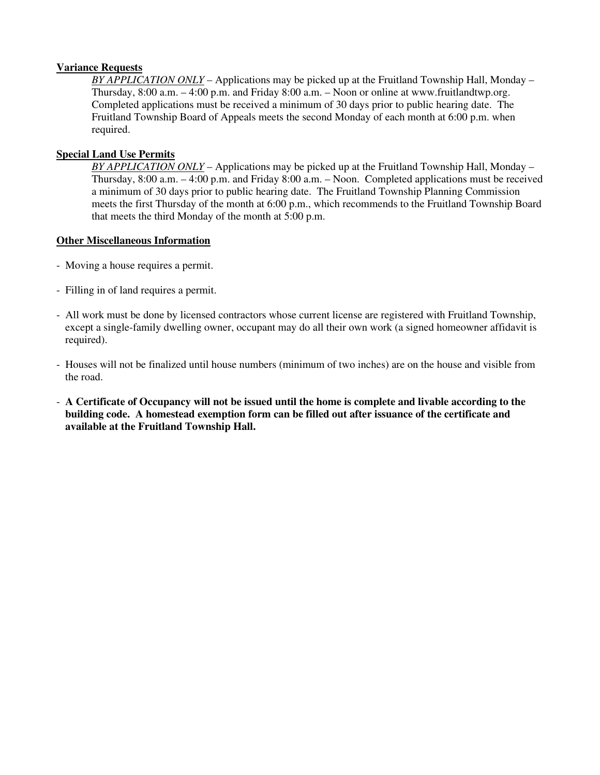#### **Variance Requests**

*BY APPLICATION ONLY* – Applications may be picked up at the Fruitland Township Hall, Monday – Thursday, 8:00 a.m. – 4:00 p.m. and Friday 8:00 a.m. – Noon or online at www.fruitlandtwp.org. Completed applications must be received a minimum of 30 days prior to public hearing date. The Fruitland Township Board of Appeals meets the second Monday of each month at 6:00 p.m. when required.

#### **Special Land Use Permits**

*BY APPLICATION ONLY* – Applications may be picked up at the Fruitland Township Hall, Monday – Thursday, 8:00 a.m. – 4:00 p.m. and Friday 8:00 a.m. – Noon. Completed applications must be received a minimum of 30 days prior to public hearing date. The Fruitland Township Planning Commission meets the first Thursday of the month at 6:00 p.m., which recommends to the Fruitland Township Board that meets the third Monday of the month at 5:00 p.m.

#### **Other Miscellaneous Information**

- Moving a house requires a permit.
- Filling in of land requires a permit.
- All work must be done by licensed contractors whose current license are registered with Fruitland Township, except a single-family dwelling owner, occupant may do all their own work (a signed homeowner affidavit is required).
- Houses will not be finalized until house numbers (minimum of two inches) are on the house and visible from the road.
- **A Certificate of Occupancy will not be issued until the home is complete and livable according to the building code. A homestead exemption form can be filled out after issuance of the certificate and available at the Fruitland Township Hall.**